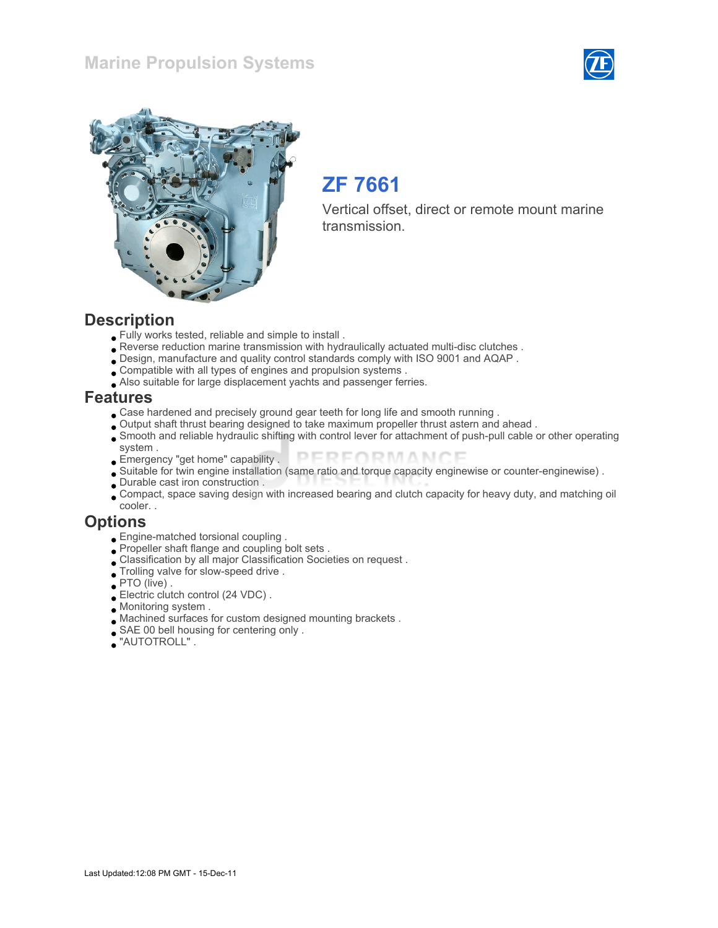## Marine Propulsion Systems





# ZF 7661

Vertical offset, direct or remote mount marine transmission.

#### **Description**

- Fully works tested, reliable and simple to install .
- Reverse reduction marine transmission with hydraulically actuated multi-disc clutches .
- Design, manufacture and quality control standards comply with ISO 9001 and AQAP .
- Compatible with all types of engines and propulsion systems .
- Also suitable for large displacement yachts and passenger ferries.

#### Features

- Case hardened and precisely ground gear teeth for long life and smooth running .
- Output shaft thrust bearing designed to take maximum propeller thrust astern and ahead .
- Smooth and reliable hydraulic shifting with control lever for attachment of push-pull cable or other operating system .
- PERFORMANCE Emergency "get home" capability .
- Suitable for twin engine installation (same ratio and torque capacity enginewise or counter-enginewise) .
- Durable cast iron construction .
- Compact, space saving design with increased bearing and clutch capacity for heavy duty, and matching oil cooler. .

#### **Options**

- Engine-matched torsional coupling .
- Propeller shaft flange and coupling bolt sets .
- Classification by all major Classification Societies on request .
- Trolling valve for slow-speed drive .
- PTO (live).
- Electric clutch control (24 VDC) .
- Monitoring system .
- Machined surfaces for custom designed mounting brackets .
- SAE 00 bell housing for centering only .
- "AUTOTROLL" .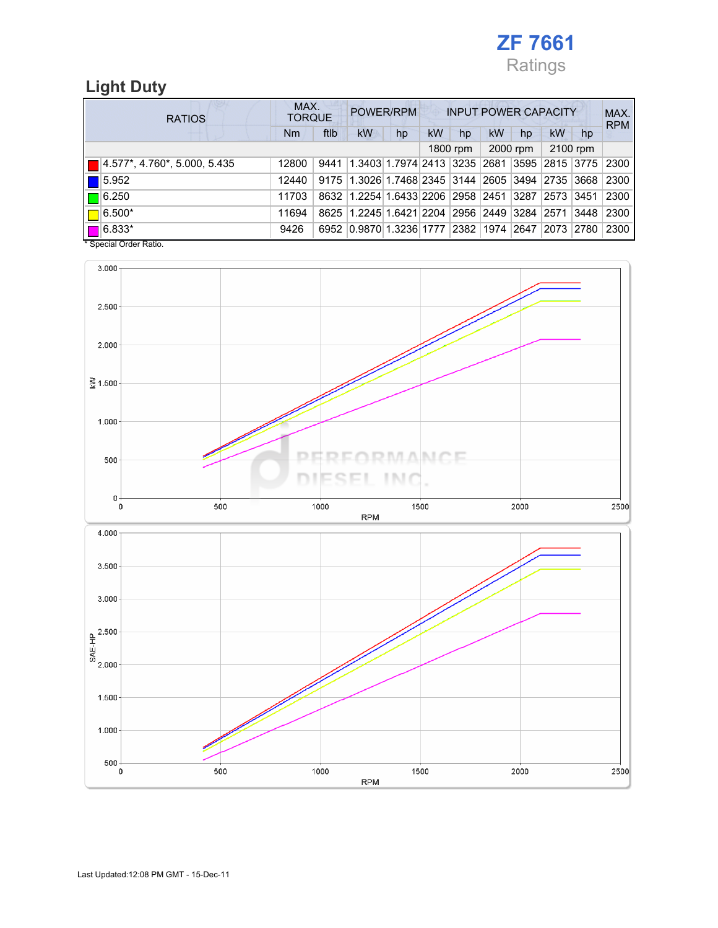

# Light Duty

| <b>RATIOS</b> |                              | MAX.<br><b>TORQUE</b> |      | POWER/RPM                                        |    | <b>INPUT POWER CAPACITY</b> |          |           |          |                    |          | MAX.<br><b>RPM</b> |
|---------------|------------------------------|-----------------------|------|--------------------------------------------------|----|-----------------------------|----------|-----------|----------|--------------------|----------|--------------------|
|               |                              | Nm                    | ftlb | kW                                               | hp | <b>kW</b>                   | hp       | <b>kW</b> | hp       | kW                 | hp       |                    |
|               |                              |                       |      |                                                  |    |                             | 1800 rpm |           | 2000 rpm |                    | 2100 rpm |                    |
|               | 4.577*, 4.760*, 5.000, 5.435 | 12800                 |      | 9441   1.3403   1.7974   2413   3235   2681      |    |                             |          |           |          | 3595   2815   3775 |          | 2300               |
|               | 5.952                        | 12440                 |      | 9175 1.3026 1.7468 2345 3144 2605 3494 2735 3668 |    |                             |          |           |          |                    |          | 2300               |
|               | $\blacksquare$ 6.250         | 11703                 |      | 8632 1.2254 1.6433 2206 2958 2451                |    |                             |          |           |          | 3287 2573 3451     |          | 2300               |
|               | $6.500*$                     | 11694                 |      | 8625 1.2245 1.6421 2204 2956 2449 3284 2571 3448 |    |                             |          |           |          |                    |          | 2300               |
|               | $\blacksquare$ 6.833*        | 9426                  |      | 6952 0.9870 1.3236 1777 2382 1974 2647 2073 2780 |    |                             |          |           |          |                    |          | 2300               |

\* Special Order Ratio.

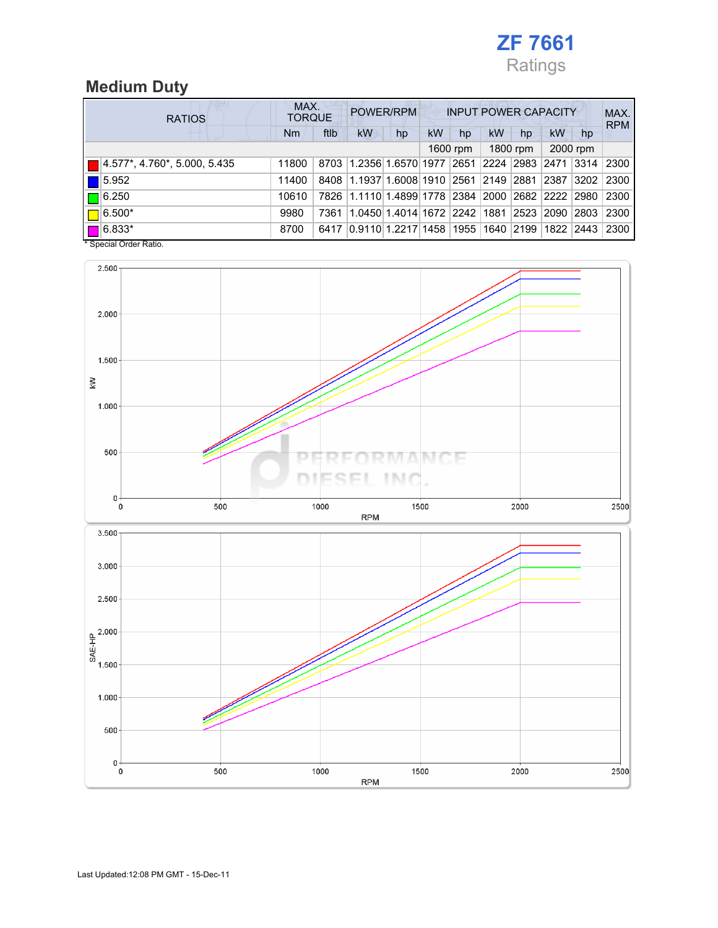

# Medium Duty

| <b>RATIOS</b> |                              | MAX.<br><b>TORQUE</b> |      | POWER/RPM                      |    | <b>INPUT POWER CAPACITY</b> |          |                           |           |           |          | MAX.<br><b>RPM</b> |
|---------------|------------------------------|-----------------------|------|--------------------------------|----|-----------------------------|----------|---------------------------|-----------|-----------|----------|--------------------|
|               |                              | Nm                    | ftlb | kW                             | hp | <b>kW</b>                   | hp       | <b>kW</b>                 | hp        | kW        | hp       |                    |
|               |                              |                       |      |                                |    |                             | 1600 rpm |                           | 1800 rpm  |           | 2000 rpm |                    |
|               | 4.577*, 4.760*, 5.000, 5.435 | 11800                 |      | 8703 1.2356 1.6570 1977 2651   |    |                             |          | 2224  2983  2471  3314    |           |           |          | 2300               |
|               | 5.952                        | 11400                 |      | 8408 1.1937 1.6008 1910 2561   |    |                             |          | 2149 2881                 |           | 2387      | 3202     | 2300               |
|               | $\blacksquare$ 6.250         | 10610                 |      | 7826 1.1110 1.4899 1778 2384   |    |                             |          | 2000   2682   2222   2980 |           |           |          | 2300               |
|               | $ 6.500*$                    | 9980                  | 7361 | 1.0450 1.4014 1672  2242  1881 |    |                             |          |                           | 2523      | 2090 2803 |          | 2300               |
|               | $\blacksquare$ 6.833*        | 8700                  | 6417 | 0.9110 1.2217 1458 1955        |    |                             |          |                           | 1640 2199 | 1822 2443 |          | 2300               |

\* Special Order Ratio.

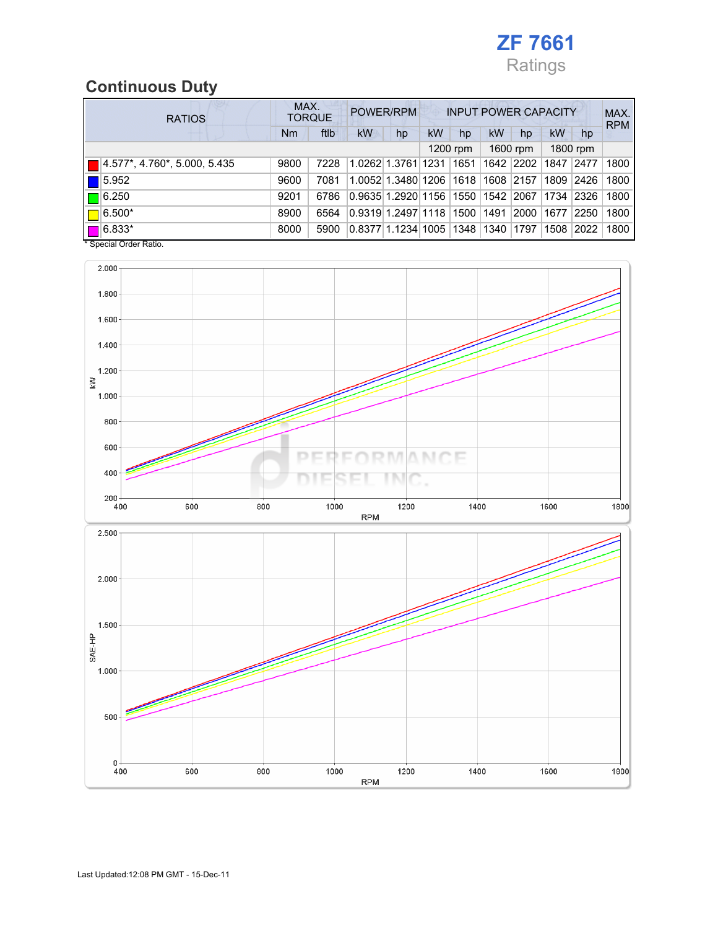

# Continuous Duty

| <b>RATIOS</b> |                                      | MAX. | <b>TORQUE</b> | POWER/RPM                            |                         | <b>INPUT POWER CAPACITY</b> |          |           |           |      |          | MAX.<br><b>RPM</b> |
|---------------|--------------------------------------|------|---------------|--------------------------------------|-------------------------|-----------------------------|----------|-----------|-----------|------|----------|--------------------|
|               |                                      |      | ftlb          | kW                                   | hp                      | <b>kW</b>                   | hp       | <b>kW</b> | hp        | kW   | hp       |                    |
|               |                                      |      |               |                                      |                         |                             | 1200 rpm |           | 1600 rpm  |      | 1800 rpm |                    |
|               | $ 4.577^* , 4.760^* , 5.000 , 5.435$ | 9800 | 7228          | 1.0262 1.3761 1231 1651              |                         |                             |          |           | 1642 2202 | 1847 | 2477     | 1800               |
|               | $\blacksquare$ 5.952                 | 9600 | 7081          |                                      | 1.0052 1.3480 1206 1618 |                             |          | 1608 2157 |           | 1809 | 2426     | 1800               |
|               | $\blacksquare$ 6.250                 | 9201 | 6786          | 0.9635 1.2920 1156  1550  1542  2067 |                         |                             |          |           |           | 1734 | 2326     | 1800               |
|               | $6.500*$                             | 8900 | 6564          | 0.9319 1.2497 1118                   |                         |                             | 1500     | 1491      | 2000      | 1677 | 2250     | 1800               |
|               | $\sqrt{6.833*}$                      | 8000 | 5900          | 0.8377 1.1234 1005  1348  1340       |                         |                             |          |           | 1797      | 1508 | 2022     | 1800               |

\* Special Order Ratio.

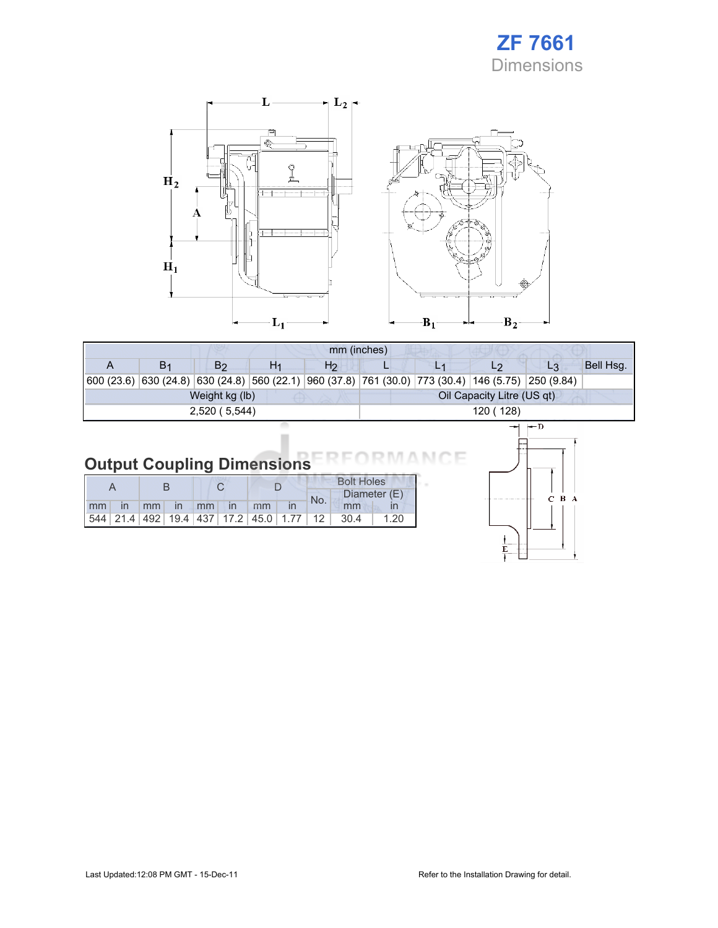



|    |                                                                                                            |    | mm (inches)    |                            |  |    |                |           |  |  |
|----|------------------------------------------------------------------------------------------------------------|----|----------------|----------------------------|--|----|----------------|-----------|--|--|
| B1 | B <sub>2</sub>                                                                                             | H1 | H <sub>2</sub> |                            |  | L2 | L3             | Bell Hsg. |  |  |
|    | 600 (23.6)  630 (24.8)  630 (24.8)  560 (22.1)  960 (37.8)  761 (30.0)  773 (30.4)  146 (5.75)  250 (9.84) |    |                |                            |  |    |                |           |  |  |
|    | Weight kg (lb)                                                                                             |    |                | Oil Capacity Litre (US qt) |  |    |                |           |  |  |
|    | 2,520 (5,544)                                                                                              |    |                | 120 (128)                  |  |    |                |           |  |  |
|    |                                                                                                            |    |                |                            |  |    | $\leftarrow$ D |           |  |  |

#### Output Coupling Dimensions ٦F N C

|    |  |    |              |       |               | <b>Bolt Holes</b>                                  |  |                 |              |      |
|----|--|----|--------------|-------|---------------|----------------------------------------------------|--|-----------------|--------------|------|
|    |  |    |              |       |               |                                                    |  | No.             | Diameter (E) |      |
| mm |  | mm | $\mathsf{I}$ | $-mm$ | $\mathsf{In}$ | mm                                                 |  |                 | mm           |      |
|    |  |    |              |       |               | 544   21.4   492   19.4   437   17.2   45.0   1.77 |  | 12 <sup>1</sup> | 30.4         | 1.20 |